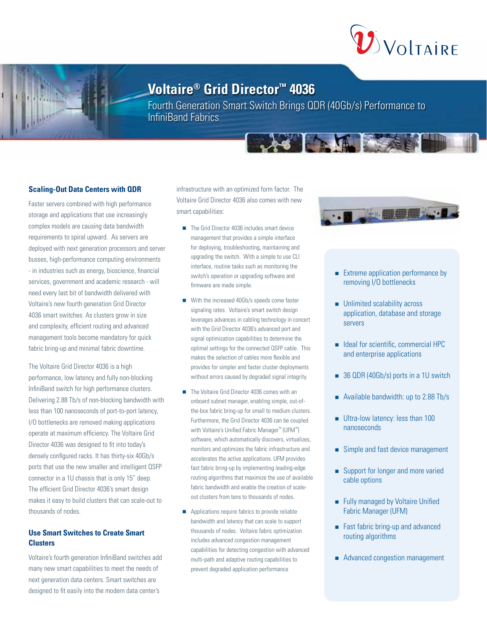

# **Voltaire® Grid Director™ 4036**

Fourth Generation Smart Switch Brings QDR (40Gb/s) Performance to InfiniBand Fabrics

AS ALLE

## **Scaling-Out Data Centers with QDR**

Faster servers combined with high performance storage and applications that use increasingly complex models are causing data bandwidth requirements to spiral upward. As servers are deployed with next generation processors and server busses, high-performance computing environments - in industries such as energy, bioscience, financial services, government and academic research - will need every last bit of bandwidth delivered with Voltaire's new fourth generation Grid Director 4036 smart switches. As clusters grow in size and complexity, efficient routing and advanced management tools become mandatory for quick fabric bring-up and minimal fabric downtime.

The Voltaire Grid Director 4036 is a high performance, low latency and fully non-blocking InfiniBand switch for high performance clusters. Delivering 2.88 Tb/s of non-blocking bandwidth with less than 100 nanoseconds of port-to-port latency, I/O bottlenecks are removed making applications operate at maximum efficiency. The Voltaire Grid Director 4036 was designed to fit into today's densely configured racks. It has thirty-six 40Gb/s ports that use the new smaller and intelligent QSFP connector in a 1U chassis that is only 15" deep. The efficient Grid Director 4036's smart design makes it easy to build clusters that can scale-out to thousands of nodes.

# **Use Smart Switches to Create Smart Clusters**

Voltaire's fourth generation InfiniBand switches add many new smart capabilities to meet the needs of next generation data centers. Smart switches are designed to fit easily into the modern data center's

infrastructure with an optimized form factor. The Voltaire Grid Director 4036 also comes with new smart capabilities:

- The Grid Director 4036 includes smart device management that provides a simple interface for deploying, troubleshooting, maintaining and upgrading the switch. With a simple to use CLI interface, routine tasks such as monitoring the switch's operation or upgrading software and firmware are made simple.
- With the increased 40Gb/s speeds come faster signaling rates. Voltaire's smart switch design leverages advances in cabling technology in concert with the Grid Director 4036's advanced port and signal optimization capabilities to determine the optimal settings for the connected QSFP cable. This makes the selection of cables more flexible and provides for simpler and faster cluster deployments without errors caused by degraded signal integrity.
- The Voltaire Grid Director 4036 comes with an onboard subnet manager, enabling simple, out-ofthe-box fabric bring-up for small to medium clusters. Furthermore, the Grid Director 4036 can be coupled with Voltaire's Unified Fabric Manager™ (UFM™) software, which automatically discovers, virtualizes, monitors and optimizes the fabric infrastructure and accelerates the active applications. UFM provides fast fabric bring-up by implementing leading-edge routing algorithms that maximize the use of available fabric bandwidth and enable the creation of scaleout clusters from tens to thousands of nodes.
- **Applications require fabrics to provide reliable** bandwidth and latency that can scale to support thousands of nodes. Voltaire fabric optimization includes advanced congestion management capabilities for detecting congestion with advanced multi-path and adaptive routing capabilities to prevent degraded application performance



- **Extreme application performance by** removing I/O bottlenecks
- Unlimited scalability across application, database and storage servers
- $\blacksquare$  Ideal for scientific, commercial HPC and enterprise applications
- 36 QDR (40Gb/s) ports in a 1U switch
- Available bandwidth: up to 2.88 Tb/s
- Ultra-low latency: less than 100 nanoseconds
- Simple and fast device management
- Support for longer and more varied cable options
- **Fully managed by Voltaire Unified** Fabric Manager (UFM)
- Fast fabric bring-up and advanced routing algorithms
- Advanced congestion management